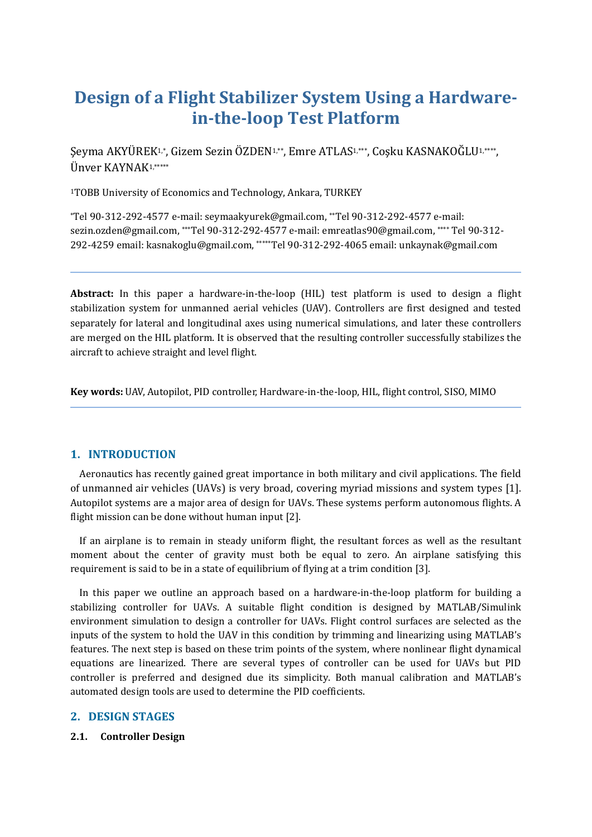# **Design of a Flight Stabilizer System Using a Hardwarein-the-loop Test Platform**

Şeyma AKYÜREK1,\*, Gizem Sezin ÖZDEN1,\*\*, Emre ATLAS1,\*\*\*, Coşku KASNAKOĞLU1,\*\*\*\*, Ünver KAYNAK1,\*\*\*\*\*

<sup>1</sup>TOBB University of Economics and Technology, Ankara, TURKEY

\*Tel 90-312-292-4577 e-mail: seymaakyurek@gmail.com, \*\*Tel 90-312-292-4577 e-mail: sezin.ozden@gmail.com, \*\*\*Tel 90-312-292-4577 e-mail: emreatlas90@gmail.com, \*\*\*\* Tel 90-312- 292-4259 email: kasnakoglu@gmail.com, \*\*\*\*\*Tel 90-312-292-4065 email: unkaynak@gmail.com

**Abstract:** In this paper a hardware-in-the-loop (HIL) test platform is used to design a flight stabilization system for unmanned aerial vehicles (UAV). Controllers are first designed and tested separately for lateral and longitudinal axes using numerical simulations, and later these controllers are merged on the HIL platform. It is observed that the resulting controller successfully stabilizes the aircraft to achieve straight and level flight.

**Key words:** UAV, Autopilot, PID controller, Hardware-in-the-loop, HIL, flight control, SISO, MIMO

## **1. INTRODUCTION**

 Aeronautics has recently gained great importance in both military and civil applications. The field of unmanned air vehicles (UAVs) is very broad, covering myriad missions and system types [1]. Autopilot systems are a major area of design for UAVs. These systems perform autonomous flights. A flight mission can be done without human input [2].

 If an airplane is to remain in steady uniform flight, the resultant forces as well as the resultant moment about the center of gravity must both be equal to zero. An airplane satisfying this requirement is said to be in a state of equilibrium of flying at a trim condition [3].

 In this paper we outline an approach based on a hardware-in-the-loop platform for building a stabilizing controller for UAVs. A suitable flight condition is designed by MATLAB/Simulink environment simulation to design a controller for UAVs. Flight control surfaces are selected as the inputs of the system to hold the UAV in this condition by trimming and linearizing using MATLAB's features. The next step is based on these trim points of the system, where nonlinear flight dynamical equations are linearized. There are several types of controller can be used for UAVs but PID controller is preferred and designed due its simplicity. Both manual calibration and MATLAB's automated design tools are used to determine the PID coefficients.

## **2. DESIGN STAGES**

## **2.1. Controller Design**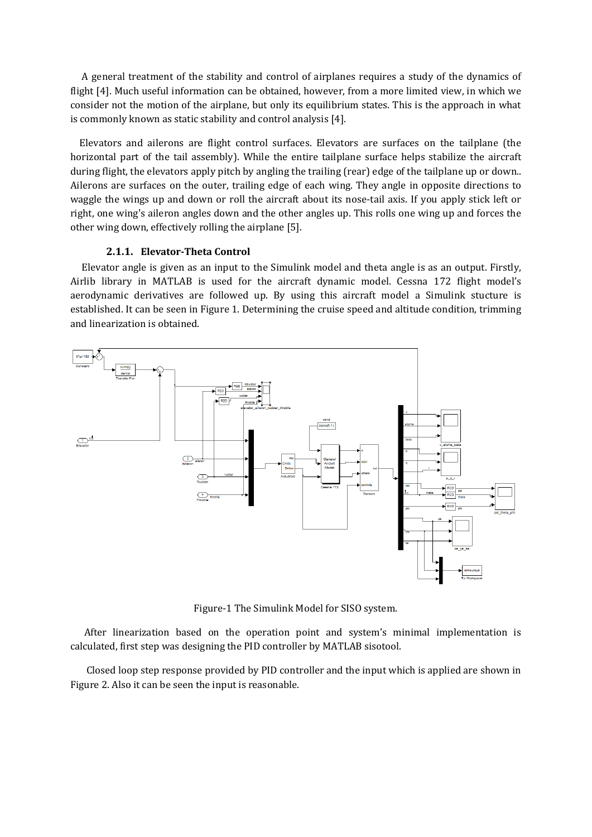A general treatment of the stability and control of airplanes requires a study of the dynamics of flight [4]. Much useful information can be obtained, however, from a more limited view, in which we consider not the motion of the airplane, but only its equilibrium states. This is the approach in what is commonly known as static stability and control analysis [4].

 Elevators and ailerons are flight control surfaces. Elevators are surfaces on the tailplane (the horizontal part of the tail assembly). While the entire tailplane surface helps stabilize the aircraft during flight, the elevators apply pitch by angling the trailing (rear) edge of the tailplane up or down... Ailerons are surfaces on the outer, trailing edge of each wing. They angle in opposite directions to waggle the wings up and down or roll the aircraft about its nose-tail axis. If you apply stick left or right, one wing's aileron angles down and the other angles up. This rolls one wing up and forces the other wing down, effectively rolling the airplane [5].

#### **2.1.1. Elevator-Theta Control**

Elevator angle is given as an input to the Simulink model and theta angle is as an output. Firstly, Airlib library in MATLAB is used for the aircraft dynamic model. Cessna 172 flight model's aerodynamic derivatives are followed up. By using this aircraft model a Simulink stucture is established. It can be seen in Figure 1. Determining the cruise speed and altitude condition, trimming and linearization is obtained.



Figure-1 The Simulink Model for SISO system.

 After linearization based on the operation point and system's minimal implementation is calculated, first step was designing the PID controller by MATLAB sisotool.

 Closed loop step response provided by PID controller and the input which is applied are shown in Figure 2. Also it can be seen the input is reasonable.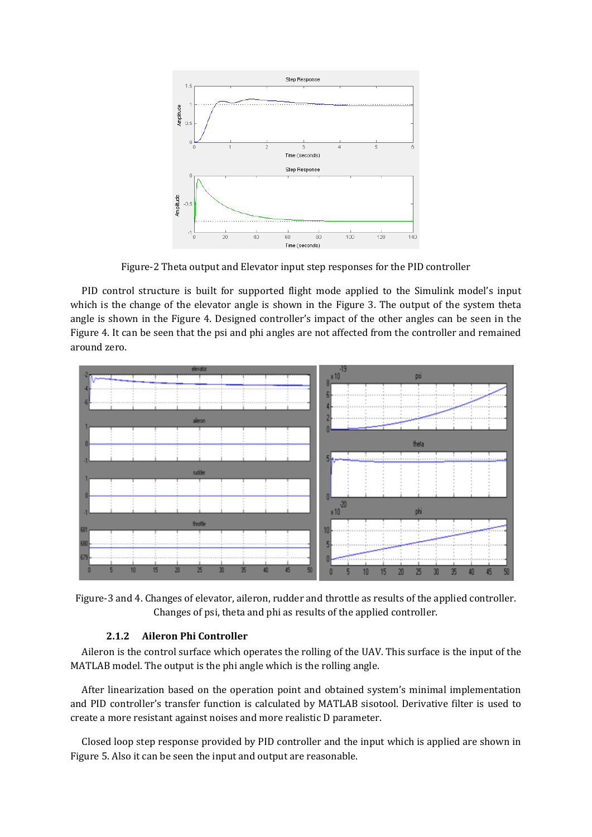

Figure-2 Theta output and Elevator input step responses for the PID controller

 PID control structure is built for supported flight mode applied to the Simulink model's input which is the change of the elevator angle is shown in the Figure 3. The output of the system theta angle is shown in the Figure 4. Designed controller's impact of the other angles can be seen in the Figure 4. It can be seen that the psi and phi angles are not affected from the controller and remained around zero.



Figure-3 and 4. Changes of elevator, aileron, rudder and throttle as results of the applied controller. Changes of psi, theta and phi as results of the applied controller.

## **2.1.2 Aileron Phi Controller**

Aileron is the control surface which operates the rolling of the UAV. This surface is the input of the MATLAB model. The output is the phi angle which is the rolling angle.

 After linearization based on the operation point and obtained system's minimal implementation and PID controller's transfer function is calculated by MATLAB sisotool. Derivative filter is used to create a more resistant against noises and more realistic D parameter.

 Closed loop step response provided by PID controller and the input which is applied are shown in Figure 5. Also it can be seen the input and output are reasonable.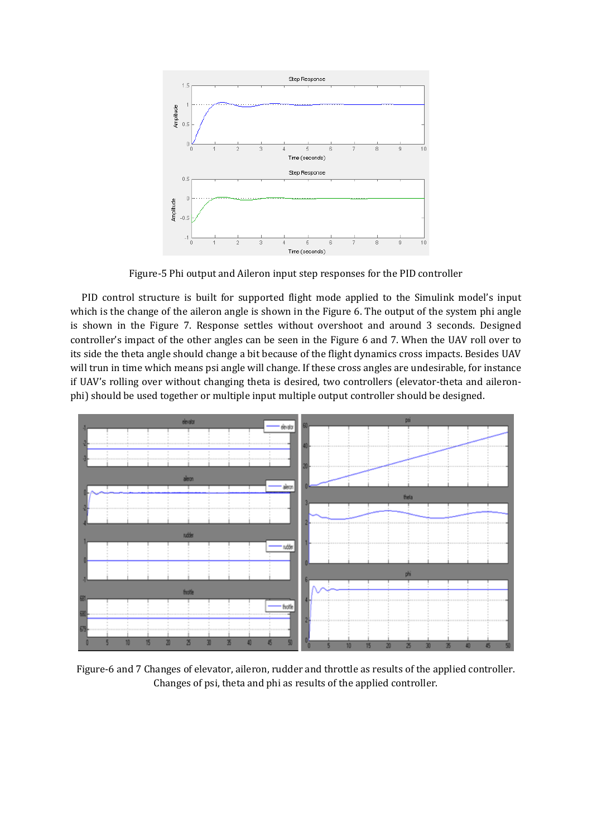

Figure-5 Phi output and Aileron input step responses for the PID controller

 PID control structure is built for supported flight mode applied to the Simulink model's input which is the change of the aileron angle is shown in the Figure 6. The output of the system phi angle is shown in the Figure 7. Response settles without overshoot and around 3 seconds. Designed controller's impact of the other angles can be seen in the Figure 6 and 7. When the UAV roll over to its side the theta angle should change a bit because of the flight dynamics cross impacts. Besides UAV will trun in time which means psi angle will change. If these cross angles are undesirable, for instance if UAV's rolling over without changing theta is desired, two controllers (elevator-theta and aileronphi) should be used together or multiple input multiple output controller should be designed.



Figure-6 and 7 Changes of elevator, aileron, rudder and throttle as results of the applied controller. Changes of psi, theta and phi as results of the applied controller.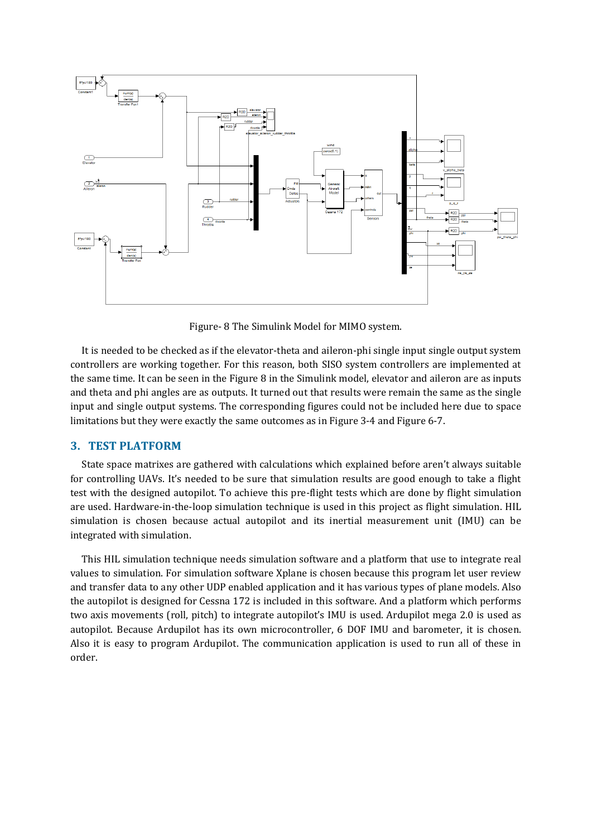

Figure- 8 The Simulink Model for MIMO system.

 It is needed to be checked as if the elevator-theta and aileron-phi single input single output system controllers are working together. For this reason, both SISO system controllers are implemented at the same time. It can be seen in the Figure 8 in the Simulink model, elevator and aileron are as inputs and theta and phi angles are as outputs. It turned out that results were remain the same as the single input and single output systems. The corresponding figures could not be included here due to space limitations but they were exactly the same outcomes as in Figure 3-4 and Figure 6-7.

## **3. TEST PLATFORM**

 State space matrixes are gathered with calculations which explained before aren't always suitable for controlling UAVs. It's needed to be sure that simulation results are good enough to take a flight test with the designed autopilot. To achieve this pre-flight tests which are done by flight simulation are used. Hardware-in-the-loop simulation technique is used in this project as flight simulation. HIL simulation is chosen because actual autopilot and its inertial measurement unit (IMU) can be integrated with simulation.

 This HIL simulation technique needs simulation software and a platform that use to integrate real values to simulation. For simulation software Xplane is chosen because this program let user review and transfer data to any other UDP enabled application and it has various types of plane models. Also the autopilot is designed for Cessna 172 is included in this software. And a platform which performs two axis movements (roll, pitch) to integrate autopilot's IMU is used. Ardupilot mega 2.0 is used as autopilot. Because Ardupilot has its own microcontroller, 6 DOF IMU and barometer, it is chosen. Also it is easy to program Ardupilot. The communication application is used to run all of these in order.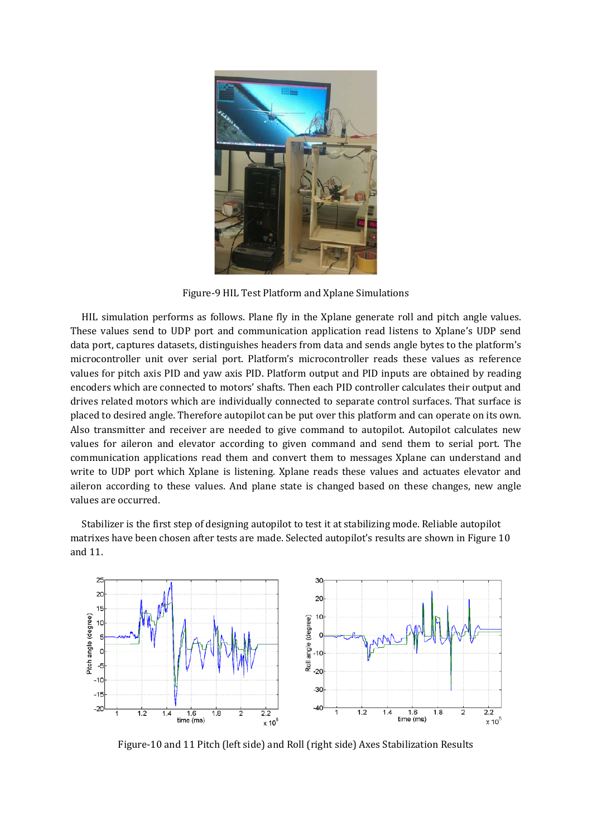

Figure-9 HIL Test Platform and Xplane Simulations

 HIL simulation performs as follows. Plane fly in the Xplane generate roll and pitch angle values. These values send to UDP port and communication application read listens to Xplane's UDP send data port, captures datasets, distinguishes headers from data and sends angle bytes to the platform's microcontroller unit over serial port. Platform's microcontroller reads these values as reference values for pitch axis PID and yaw axis PID. Platform output and PID inputs are obtained by reading encoders which are connected to motors' shafts. Then each PID controller calculates their output and drives related motors which are individually connected to separate control surfaces. That surface is placed to desired angle. Therefore autopilot can be put over this platform and can operate on its own. Also transmitter and receiver are needed to give command to autopilot. Autopilot calculates new values for aileron and elevator according to given command and send them to serial port. The communication applications read them and convert them to messages Xplane can understand and write to UDP port which Xplane is listening. Xplane reads these values and actuates elevator and aileron according to these values. And plane state is changed based on these changes, new angle values are occurred.

 Stabilizer is the first step of designing autopilot to test it at stabilizing mode. Reliable autopilot matrixes have been chosen after tests are made. Selected autopilot's results are shown in Figure 10 and 11.



Figure-10 and 11 Pitch (left side) and Roll (right side) Axes Stabilization Results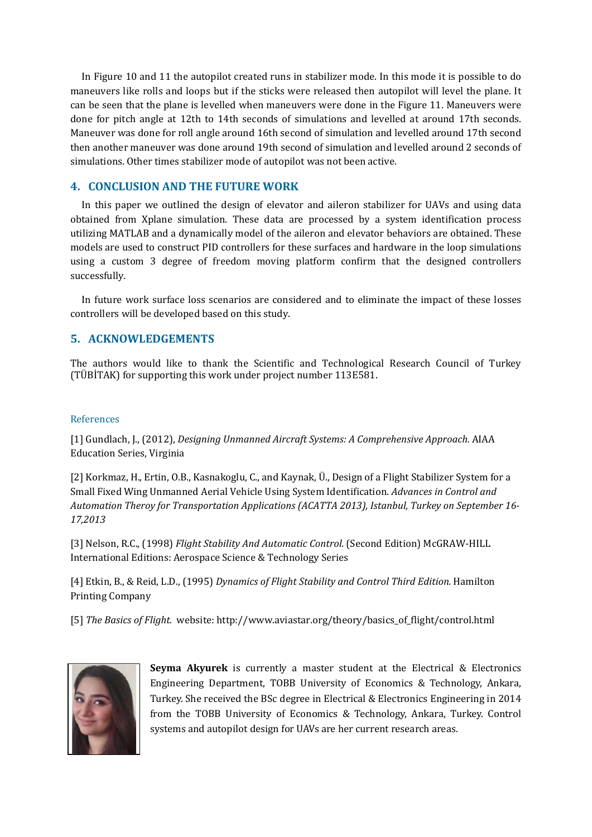In Figure 10 and 11 the autopilot created runs in stabilizer mode. In this mode it is possible to do maneuvers like rolls and loops but if the sticks were released then autopilot will level the plane. It can be seen that the plane is levelled when maneuvers were done in the Figure 11. Maneuvers were done for pitch angle at 12th to 14th seconds of simulations and levelled at around 17th seconds. Maneuver was done for roll angle around 16th second of simulation and levelled around 17th second then another maneuver was done around 19th second of simulation and levelled around 2 seconds of simulations. Other times stabilizer mode of autopilot was not been active.

## **4. CONCLUSION AND THE FUTURE WORK**

 In this paper we outlined the design of elevator and aileron stabilizer for UAVs and using data obtained from Xplane simulation. These data are processed by a system identification process utilizing MATLAB and a dynamically model of the aileron and elevator behaviors are obtained. These models are used to construct PID controllers for these surfaces and hardware in the loop simulations using a custom 3 degree of freedom moving platform confirm that the designed controllers successfully.

 In future work surface loss scenarios are considered and to eliminate the impact of these losses controllers will be developed based on this study.

# **5. ACKNOWLEDGEMENTS**

The authors would like to thank the Scientific and Technological Research Council of Turkey (TÜBİTAK) for supporting this work under project number 113E581.

#### References

[1] Gundlach, J., (2012), *Designing Unmanned Aircraft Systems: A Comprehensive Approach.* AIAA Education Series, Virginia

[2] Korkmaz, H., Ertin, O.B., Kasnakoglu, C., and Kaynak, Ü., Design of a Flight Stabilizer System for a Small Fixed Wing Unmanned Aerial Vehicle Using System Identification. *Advances in Control and Automation Theroy for Transportation Applications (ACATTA 2013), Istanbul, Turkey on September 16- 17,2013*

[3] Nelson, R.C., (1998) *Flight Stability And Automatic Control.* (Second Edition) McGRAW-HILL International Editions: Aerospace Science & Technology Series

[4] Etkin, B., & Reid, L.D., (1995) *Dynamics of Flight Stability and Control Third Edition.* Hamilton Printing Company

[5] *The Basics of Flight.* website: http://www.aviastar.org/theory/basics\_of\_flight/control.html



**Seyma Akyurek** is currently a master student at the Electrical & Electronics Engineering Department, TOBB University of Economics & Technology, Ankara, Turkey. She received the BSc degree in Electrical & Electronics Engineering in 2014 from the TOBB University of Economics & Technology, Ankara, Turkey. Control systems and autopilot design for UAVs are her current research areas.